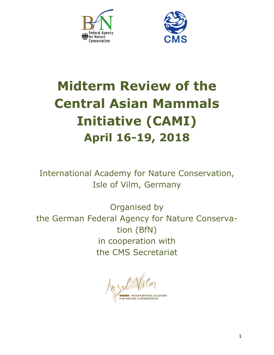



# **Midterm Review of the Central Asian Mammals Initiative (CAMI) April 16-19, 2018**

International Academy for Nature Conservation, Isle of Vilm, Germany

Organised by the German Federal Agency for Nature Conservation (BfN) in cooperation with the CMS Secretariat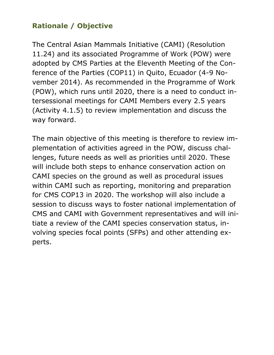### **Rationale / Objective**

The Central Asian Mammals Initiative (CAMI) (Resolution 11.24) and its associated Programme of Work (POW) were adopted by CMS Parties at the Eleventh Meeting of the Conference of the Parties (COP11) in Quito, Ecuador (4-9 November 2014). As recommended in the Programme of Work (POW), which runs until 2020, there is a need to conduct intersessional meetings for CAMI Members every 2.5 years (Activity 4.1.5) to review implementation and discuss the way forward.

The main objective of this meeting is therefore to review implementation of activities agreed in the POW, discuss challenges, future needs as well as priorities until 2020. These will include both steps to enhance conservation action on CAMI species on the ground as well as procedural issues within CAMI such as reporting, monitoring and preparation for CMS COP13 in 2020. The workshop will also include a session to discuss ways to foster national implementation of CMS and CAMI with Government representatives and will initiate a review of the CAMI species conservation status, involving species focal points (SFPs) and other attending experts.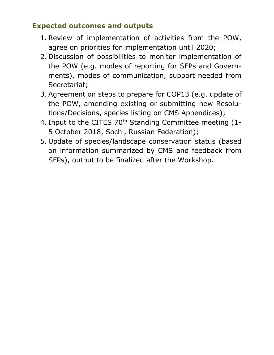#### **Expected outcomes and outputs**

- 1. Review of implementation of activities from the POW, agree on priorities for implementation until 2020;
- 2. Discussion of possibilities to monitor implementation of the POW (e.g. modes of reporting for SFPs and Governments), modes of communication, support needed from Secretariat;
- 3. Agreement on steps to prepare for COP13 (e.g. update of the POW, amending existing or submitting new Resolutions/Decisions, species listing on CMS Appendices);
- 4. Input to the CITES 70<sup>th</sup> Standing Committee meeting (1-5 October 2018, Sochi, Russian Federation);
- 5. Update of species/landscape conservation status (based on information summarized by CMS and feedback from SFPs), output to be finalized after the Workshop.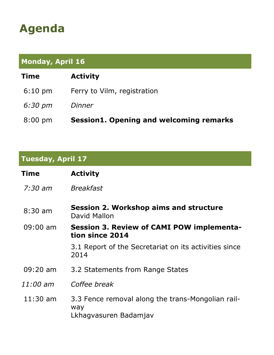# **Agenda**

## **Monday, April 16**

| Time              | <b>Activity</b>                                |
|-------------------|------------------------------------------------|
| $6:10 \text{ pm}$ | Ferry to Vilm, registration                    |
| 6:30 pm           | <i>Dinner</i>                                  |
| $8:00 \text{ pm}$ | <b>Session1. Opening and welcoming remarks</b> |

### **Tuesday, April 17**

| Time               | <b>Activity</b>                                                                   |
|--------------------|-----------------------------------------------------------------------------------|
| $7:30$ am          | <b>Breakfast</b>                                                                  |
| $8:30$ am          | <b>Session 2. Workshop aims and structure</b><br>David Mallon                     |
| $09:00$ am         | Session 3. Review of CAMI POW implementa-<br>tion since 2014                      |
|                    | 3.1 Report of the Secretariat on its activities since<br>2014                     |
| $09:20 \text{ am}$ | 3.2 Statements from Range States                                                  |
| 11:00 am           | Coffee break                                                                      |
| $11:30$ am         | 3.3 Fence removal along the trans-Mongolian rail-<br>way<br>Lkhagvasuren Badamjav |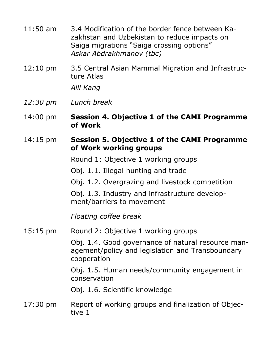| $11:50$ am | 3.4 Modification of the border fence between Ka- |
|------------|--------------------------------------------------|
|            | zakhstan and Uzbekistan to reduce impacts on     |
|            | Saiga migrations "Saiga crossing options"        |
|            | Askar Abdrakhmanov (tbc)                         |

12:10 pm 3.5 Central Asian Mammal Migration and Infrastructure Atlas

*Aili Kang*

- *12:30 pm Lunch break*
- 14:00 pm **Session 4. Objective 1 of the CAMI Programme of Work**
- 14:15 pm **Session 5. Objective 1 of the CAMI Programme of Work working groups**

Round 1: Objective 1 working groups

Obj. 1.1. Illegal hunting and trade

Obj. 1.2. Overgrazing and livestock competition

Obj. 1.3. Industry and infrastructure development/barriers to movement

*Floating coffee break*

15:15 pm Round 2: Objective 1 working groups

Obj. 1.4. Good governance of natural resource management/policy and legislation and Transboundary cooperation

Obj. 1.5. Human needs/community engagement in conservation

Obj. 1.6. Scientific knowledge

17:30 pm Report of working groups and finalization of Objective 1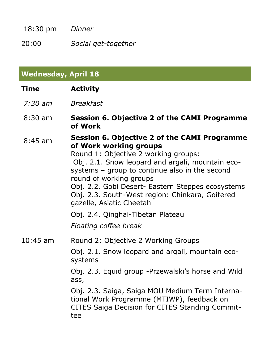18:30 pm *Dinner*

20:00 *Social get-together*

| <b>Wednesday, April 18</b> |                                                                                                                                                                                                                                                                                                                                                                                            |  |
|----------------------------|--------------------------------------------------------------------------------------------------------------------------------------------------------------------------------------------------------------------------------------------------------------------------------------------------------------------------------------------------------------------------------------------|--|
| <b>Time</b>                | <b>Activity</b>                                                                                                                                                                                                                                                                                                                                                                            |  |
| 7:30 am                    | <b>Breakfast</b>                                                                                                                                                                                                                                                                                                                                                                           |  |
| $8:30 \text{ am}$          | <b>Session 6. Objective 2 of the CAMI Programme</b><br>of Work                                                                                                                                                                                                                                                                                                                             |  |
| $8:45$ am                  | <b>Session 6. Objective 2 of the CAMI Programme</b><br>of Work working groups<br>Round 1: Objective 2 working groups:<br>Obj. 2.1. Snow leopard and argali, mountain eco-<br>systems - group to continue also in the second<br>round of working groups<br>Obj. 2.2. Gobi Desert- Eastern Steppes ecosystems<br>Obj. 2.3. South-West region: Chinkara, Goitered<br>gazelle, Asiatic Cheetah |  |
|                            | Obj. 2.4. Qinghai-Tibetan Plateau<br>Floating coffee break                                                                                                                                                                                                                                                                                                                                 |  |
| $10:45$ am                 | Round 2: Objective 2 Working Groups<br>Obj. 2.1. Snow leopard and argali, mountain eco-<br>systems<br>Obj. 2.3. Equid group -Przewalski's horse and Wild<br>ass,<br>Obj. 2.3. Saiga, Saiga MOU Medium Term Interna-<br>tional Work Programme (MTIWP), feedback on<br>CITES Saiga Decision for CITES Standing Commit-<br>tee                                                                |  |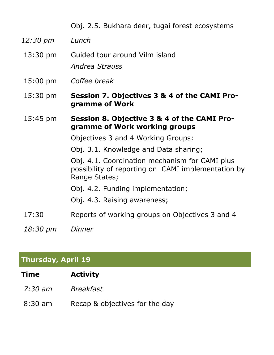Obj. 2.5. Bukhara deer, tugai forest ecosystems

- *12:30 pm Lunch*
- 13:30 pm Guided tour around Vilm island *Andrea Strauss*
- 15:00 pm *Coffee break*
- 15:30 pm **Session 7. Objectives 3 & 4 of the CAMI Programme of Work**
- 15:45 pm **Session 8. Objective 3 & 4 of the CAMI Programme of Work working groups**

Objectives 3 and 4 Working Groups:

Obj. 3.1. Knowledge and Data sharing;

Obj. 4.1. Coordination mechanism for CAMI plus possibility of reporting on CAMI implementation by Range States;

Obj. 4.2. Funding implementation;

Obj. 4.3. Raising awareness;

- 17:30 Reports of working groups on Objectives 3 and 4
- *18:30 pm Dinner*

### **Thursday, April 19**

- *7:30 am Breakfast*
- 8:30 am Recap & objectives for the day